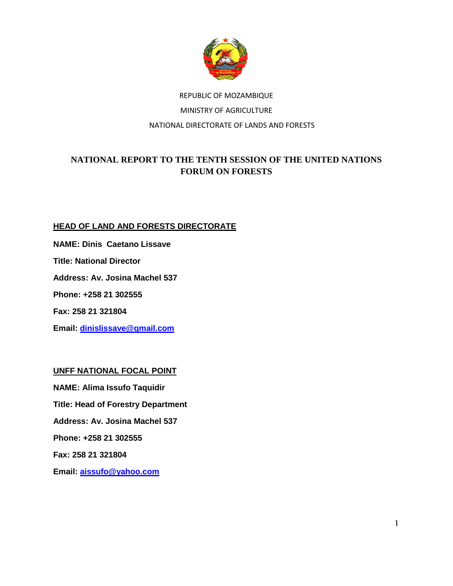

# REPUBLIC OF MOZAMBIQUE MINISTRY OF AGRICULTURE NATIONAL DIRECTORATE OF LANDS AND FORESTS

## **NATIONAL REPORT TO THE TENTH SESSION OF THE UNITED NATIONS FORUM ON FORESTS**

### **HEAD OF LAND AND FORESTS DIRECTORATE**

**NAME: Dinis Caetano Lissave** 

**Title: National Director** 

**Address: Av. Josina Machel 537** 

**Phone: +258 21 302555** 

**Fax: 258 21 321804** 

**Email: dinislissave@gmail.com**

**UNFF NATIONAL FOCAL POINT** 

**NAME: Alima Issufo Taquidir Title: Head of Forestry Department Address: Av. Josina Machel 537 Phone: +258 21 302555 Fax: 258 21 321804** 

**Email: aissufo@yahoo.com**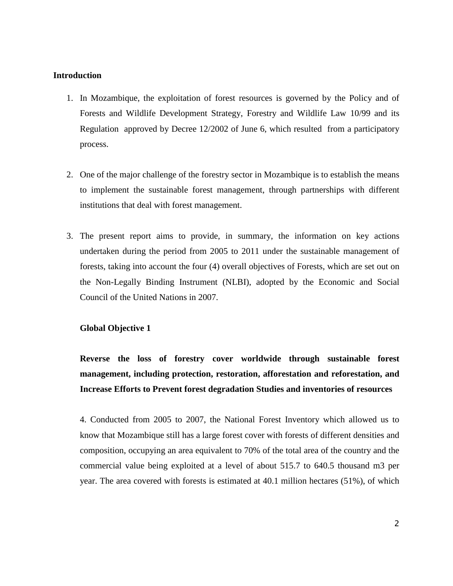#### **Introduction**

- 1. In Mozambique, the exploitation of forest resources is governed by the Policy and of Forests and Wildlife Development Strategy, Forestry and Wildlife Law 10/99 and its Regulation approved by Decree 12/2002 of June 6, which resulted from a participatory process.
- 2. One of the major challenge of the forestry sector in Mozambique is to establish the means to implement the sustainable forest management, through partnerships with different institutions that deal with forest management.
- 3. The present report aims to provide, in summary, the information on key actions undertaken during the period from 2005 to 2011 under the sustainable management of forests, taking into account the four (4) overall objectives of Forests, which are set out on the Non-Legally Binding Instrument (NLBI), adopted by the Economic and Social Council of the United Nations in 2007.

#### **Global Objective 1**

**Reverse the loss of forestry cover worldwide through sustainable forest management, including protection, restoration, afforestation and reforestation, and Increase Efforts to Prevent forest degradation Studies and inventories of resources** 

4. Conducted from 2005 to 2007, the National Forest Inventory which allowed us to know that Mozambique still has a large forest cover with forests of different densities and composition, occupying an area equivalent to 70% of the total area of the country and the commercial value being exploited at a level of about 515.7 to 640.5 thousand m3 per year. The area covered with forests is estimated at 40.1 million hectares (51%), of which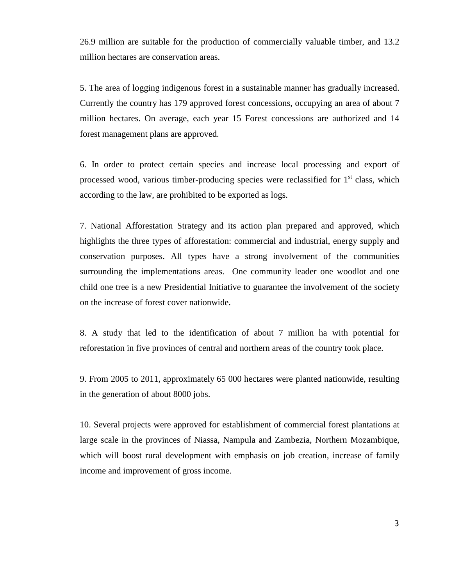26.9 million are suitable for the production of commercially valuable timber, and 13.2 million hectares are conservation areas.

5. The area of logging indigenous forest in a sustainable manner has gradually increased. Currently the country has 179 approved forest concessions, occupying an area of about 7 million hectares. On average, each year 15 Forest concessions are authorized and 14 forest management plans are approved.

6. In order to protect certain species and increase local processing and export of processed wood, various timber-producing species were reclassified for  $1<sup>st</sup>$  class, which according to the law, are prohibited to be exported as logs.

7. National Afforestation Strategy and its action plan prepared and approved, which highlights the three types of afforestation: commercial and industrial, energy supply and conservation purposes. All types have a strong involvement of the communities surrounding the implementations areas. One community leader one woodlot and one child one tree is a new Presidential Initiative to guarantee the involvement of the society on the increase of forest cover nationwide.

8. A study that led to the identification of about 7 million ha with potential for reforestation in five provinces of central and northern areas of the country took place.

9. From 2005 to 2011, approximately 65 000 hectares were planted nationwide, resulting in the generation of about 8000 jobs.

10. Several projects were approved for establishment of commercial forest plantations at large scale in the provinces of Niassa, Nampula and Zambezia, Northern Mozambique, which will boost rural development with emphasis on job creation, increase of family income and improvement of gross income.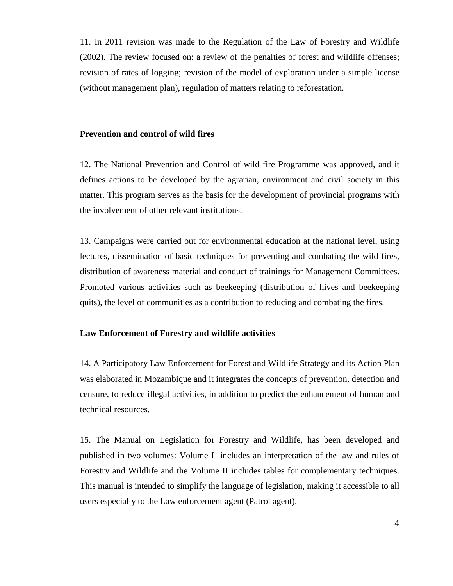11. In 2011 revision was made to the Regulation of the Law of Forestry and Wildlife (2002). The review focused on: a review of the penalties of forest and wildlife offenses; revision of rates of logging; revision of the model of exploration under a simple license (without management plan), regulation of matters relating to reforestation.

#### **Prevention and control of wild fires**

12. The National Prevention and Control of wild fire Programme was approved, and it defines actions to be developed by the agrarian, environment and civil society in this matter. This program serves as the basis for the development of provincial programs with the involvement of other relevant institutions.

13. Campaigns were carried out for environmental education at the national level, using lectures, dissemination of basic techniques for preventing and combating the wild fires, distribution of awareness material and conduct of trainings for Management Committees. Promoted various activities such as beekeeping (distribution of hives and beekeeping quits), the level of communities as a contribution to reducing and combating the fires.

#### **Law Enforcement of Forestry and wildlife activities**

14. A Participatory Law Enforcement for Forest and Wildlife Strategy and its Action Plan was elaborated in Mozambique and it integrates the concepts of prevention, detection and censure, to reduce illegal activities, in addition to predict the enhancement of human and technical resources.

15. The Manual on Legislation for Forestry and Wildlife, has been developed and published in two volumes: Volume I includes an interpretation of the law and rules of Forestry and Wildlife and the Volume II includes tables for complementary techniques. This manual is intended to simplify the language of legislation, making it accessible to all users especially to the Law enforcement agent (Patrol agent).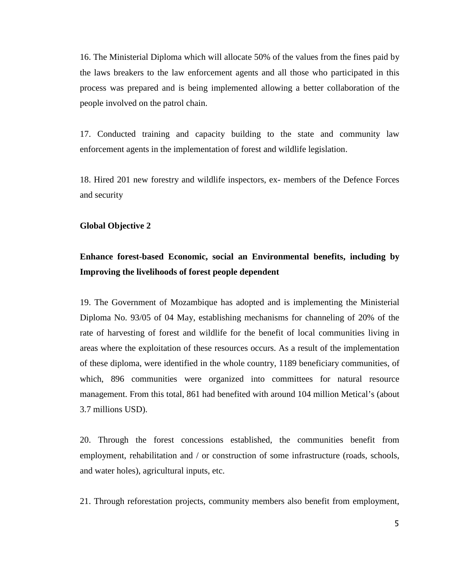16. The Ministerial Diploma which will allocate 50% of the values from the fines paid by the laws breakers to the law enforcement agents and all those who participated in this process was prepared and is being implemented allowing a better collaboration of the people involved on the patrol chain.

17. Conducted training and capacity building to the state and community law enforcement agents in the implementation of forest and wildlife legislation.

18. Hired 201 new forestry and wildlife inspectors, ex- members of the Defence Forces and security

#### **Global Objective 2**

# **Enhance forest-based Economic, social an Environmental benefits, including by Improving the livelihoods of forest people dependent**

19. The Government of Mozambique has adopted and is implementing the Ministerial Diploma No. 93/05 of 04 May, establishing mechanisms for channeling of 20% of the rate of harvesting of forest and wildlife for the benefit of local communities living in areas where the exploitation of these resources occurs. As a result of the implementation of these diploma, were identified in the whole country, 1189 beneficiary communities, of which, 896 communities were organized into committees for natural resource management. From this total, 861 had benefited with around 104 million Metical's (about 3.7 millions USD).

20. Through the forest concessions established, the communities benefit from employment, rehabilitation and / or construction of some infrastructure (roads, schools, and water holes), agricultural inputs, etc.

21. Through reforestation projects, community members also benefit from employment,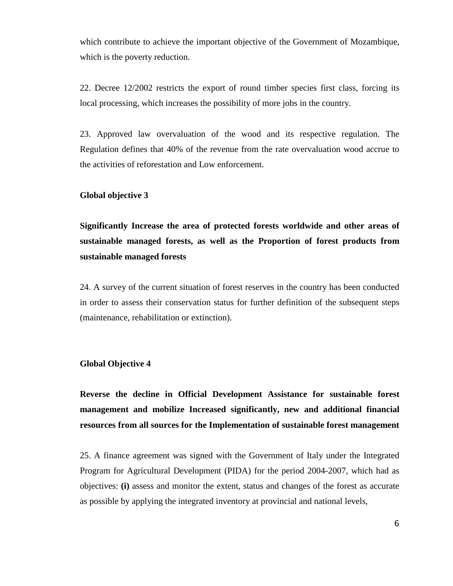which contribute to achieve the important objective of the Government of Mozambique, which is the poverty reduction.

22. Decree 12/2002 restricts the export of round timber species first class, forcing its local processing, which increases the possibility of more jobs in the country.

23. Approved law overvaluation of the wood and its respective regulation. The Regulation defines that 40% of the revenue from the rate overvaluation wood accrue to the activities of reforestation and Low enforcement.

#### **Global objective 3**

**Significantly Increase the area of protected forests worldwide and other areas of sustainable managed forests, as well as the Proportion of forest products from sustainable managed forests** 

24. A survey of the current situation of forest reserves in the country has been conducted in order to assess their conservation status for further definition of the subsequent steps (maintenance, rehabilitation or extinction).

#### **Global Objective 4**

**Reverse the decline in Official Development Assistance for sustainable forest management and mobilize Increased significantly, new and additional financial resources from all sources for the Implementation of sustainable forest management**

25. A finance agreement was signed with the Government of Italy under the Integrated Program for Agricultural Development (PIDA) for the period 2004-2007, which had as objectives: **(i)** assess and monitor the extent, status and changes of the forest as accurate as possible by applying the integrated inventory at provincial and national levels,